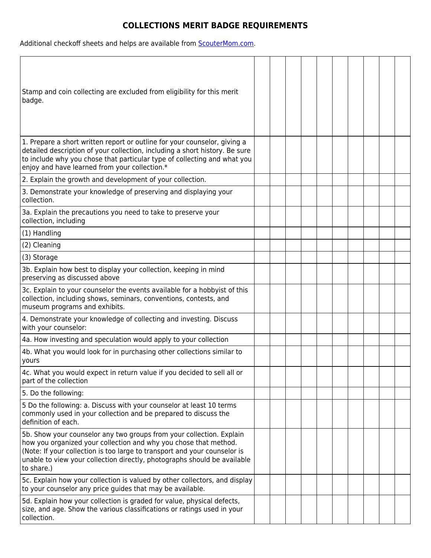## **COLLECTIONS MERIT BADGE REQUIREMENTS**

Additional checkoff sheets and helps are available from **ScouterMom.com**.

| Stamp and coin collecting are excluded from eligibility for this merit<br>badge.                                                                                                                                                                                                                                |  |  |  |  |  |
|-----------------------------------------------------------------------------------------------------------------------------------------------------------------------------------------------------------------------------------------------------------------------------------------------------------------|--|--|--|--|--|
| 1. Prepare a short written report or outline for your counselor, giving a<br>detailed description of your collection, including a short history. Be sure<br>to include why you chose that particular type of collecting and what you<br>enjoy and have learned from your collection.*                           |  |  |  |  |  |
| 2. Explain the growth and development of your collection.                                                                                                                                                                                                                                                       |  |  |  |  |  |
| 3. Demonstrate your knowledge of preserving and displaying your<br>collection.                                                                                                                                                                                                                                  |  |  |  |  |  |
| 3a. Explain the precautions you need to take to preserve your<br>collection, including                                                                                                                                                                                                                          |  |  |  |  |  |
| (1) Handling                                                                                                                                                                                                                                                                                                    |  |  |  |  |  |
| (2) Cleaning                                                                                                                                                                                                                                                                                                    |  |  |  |  |  |
| (3) Storage                                                                                                                                                                                                                                                                                                     |  |  |  |  |  |
| 3b. Explain how best to display your collection, keeping in mind<br>preserving as discussed above                                                                                                                                                                                                               |  |  |  |  |  |
| 3c. Explain to your counselor the events available for a hobbyist of this<br>collection, including shows, seminars, conventions, contests, and<br>museum programs and exhibits.                                                                                                                                 |  |  |  |  |  |
| 4. Demonstrate your knowledge of collecting and investing. Discuss<br>with your counselor:                                                                                                                                                                                                                      |  |  |  |  |  |
| 4a. How investing and speculation would apply to your collection                                                                                                                                                                                                                                                |  |  |  |  |  |
| 4b. What you would look for in purchasing other collections similar to<br>yours                                                                                                                                                                                                                                 |  |  |  |  |  |
| 4c. What you would expect in return value if you decided to sell all or<br>part of the collection                                                                                                                                                                                                               |  |  |  |  |  |
| 5. Do the following:                                                                                                                                                                                                                                                                                            |  |  |  |  |  |
| 5 Do the following: a. Discuss with your counselor at least 10 terms<br>commonly used in your collection and be prepared to discuss the<br>definition of each.                                                                                                                                                  |  |  |  |  |  |
| 5b. Show your counselor any two groups from your collection. Explain<br>how you organized your collection and why you chose that method.<br>(Note: If your collection is too large to transport and your counselor is<br>unable to view your collection directly, photographs should be available<br>to share.) |  |  |  |  |  |
| 5c. Explain how your collection is valued by other collectors, and display<br>to your counselor any price guides that may be available.                                                                                                                                                                         |  |  |  |  |  |
| 5d. Explain how your collection is graded for value, physical defects,<br>size, and age. Show the various classifications or ratings used in your<br>collection.                                                                                                                                                |  |  |  |  |  |